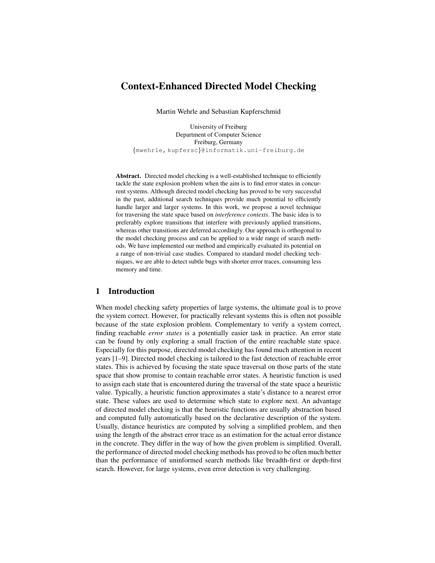# Context-Enhanced Directed Model Checking

Martin Wehrle and Sebastian Kupferschmid

University of Freiburg Department of Computer Science Freiburg, Germany {mwehrle, kupfersc}@informatik.uni-freiburg.de

Abstract. Directed model checking is a well-established technique to efficiently tackle the state explosion problem when the aim is to find error states in concurrent systems. Although directed model checking has proved to be very successful in the past, additional search techniques provide much potential to efficiently handle larger and larger systems. In this work, we propose a novel technique for traversing the state space based on *interference contexts*. The basic idea is to preferably explore transitions that interfere with previously applied transitions, whereas other transitions are deferred accordingly. Our approach is orthogonal to the model checking process and can be applied to a wide range of search methods. We have implemented our method and empirically evaluated its potential on a range of non-trivial case studies. Compared to standard model checking techniques, we are able to detect subtle bugs with shorter error traces, consuming less memory and time.

# 1 Introduction

When model checking safety properties of large systems, the ultimate goal is to prove the system correct. However, for practically relevant systems this is often not possible because of the state explosion problem. Complementary to verify a system correct, finding reachable *error states* is a potentially easier task in practice. An error state can be found by only exploring a small fraction of the entire reachable state space. Especially for this purpose, directed model checking has found much attention in recent years [1–9]. Directed model checking is tailored to the fast detection of reachable error states. This is achieved by focusing the state space traversal on those parts of the state space that show promise to contain reachable error states. A heuristic function is used to assign each state that is encountered during the traversal of the state space a heuristic value. Typically, a heuristic function approximates a state's distance to a nearest error state. These values are used to determine which state to explore next. An advantage of directed model checking is that the heuristic functions are usually abstraction based and computed fully automatically based on the declarative description of the system. Usually, distance heuristics are computed by solving a simplified problem, and then using the length of the abstract error trace as an estimation for the actual error distance in the concrete. They differ in the way of how the given problem is simplified. Overall, the performance of directed model checking methods has proved to be often much better than the performance of uninformed search methods like breadth-first or depth-first search. However, for large systems, even error detection is very challenging.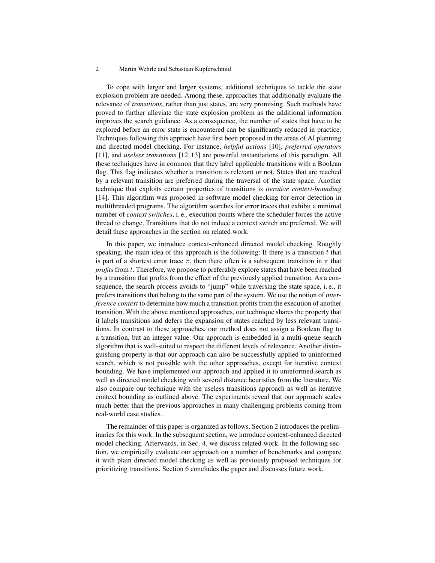To cope with larger and larger systems, additional techniques to tackle the state explosion problem are needed. Among these, approaches that additionally evaluate the relevance of *transitions*, rather than just states, are very promising. Such methods have proved to further alleviate the state explosion problem as the additional information improves the search guidance. As a consequence, the number of states that have to be explored before an error state is encountered can be significantly reduced in practice. Techniques following this approach have first been proposed in the areas of AI planning and directed model checking. For instance, *helpful actions* [10], *preferred operators* [11], and *useless transitions* [12, 13] are powerful instantiations of this paradigm. All these techniques have in common that they label applicable transitions with a Boolean flag. This flag indicates whether a transition is relevant or not. States that are reached by a relevant transition are preferred during the traversal of the state space. Another technique that exploits certain properties of transitions is *iterative context-bounding* [14]. This algorithm was proposed in software model checking for error detection in multithreaded programs. The algorithm searches for error traces that exhibit a minimal number of *context switches*, i. e., execution points where the scheduler forces the active thread to change. Transitions that do not induce a context switch are preferred. We will detail these approaches in the section on related work.

In this paper, we introduce context-enhanced directed model checking. Roughly speaking, the main idea of this approach is the following: If there is a transition  $t$  that is part of a shortest error trace  $\pi$ , then there often is a subsequent transition in  $\pi$  that *profits* from t. Therefore, we propose to preferably explore states that have been reached by a transition that profits from the effect of the previously applied transition. As a consequence, the search process avoids to "jump" while traversing the state space, i. e., it prefers transitions that belong to the same part of the system. We use the notion of *interference context* to determine how much a transition profits from the execution of another transition. With the above mentioned approaches, our technique shares the property that it labels transitions and defers the expansion of states reached by less relevant transitions. In contrast to these approaches, our method does not assign a Boolean flag to a transition, but an integer value. Our approach is embedded in a multi-queue search algorithm that is well-suited to respect the different levels of relevance. Another distinguishing property is that our approach can also be successfully applied to uninformed search, which is not possible with the other approaches, except for iterative context bounding. We have implemented our approach and applied it to uninformed search as well as directed model checking with several distance heuristics from the literature. We also compare our technique with the useless transitions approach as well as iterative context bounding as outlined above. The experiments reveal that our approach scales much better than the previous approaches in many challenging problems coming from real-world case studies.

The remainder of this paper is organized as follows. Section 2 introduces the preliminaries for this work. In the subsequent section, we introduce context-enhanced directed model checking. Afterwards, in Sec. 4, we discuss related work. In the following section, we empirically evaluate our approach on a number of benchmarks and compare it with plain directed model checking as well as previously proposed techniques for prioritizing transitions. Section 6 concludes the paper and discusses future work.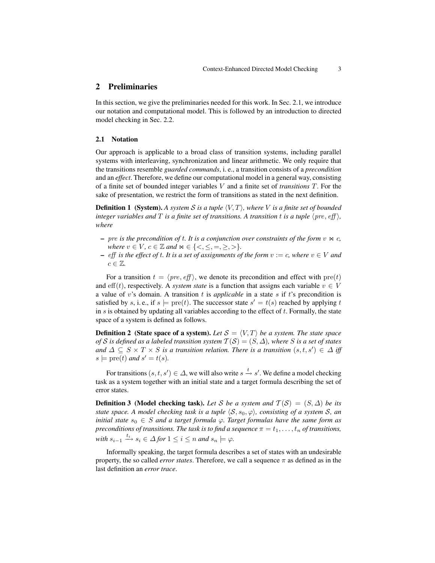# 2 Preliminaries

In this section, we give the preliminaries needed for this work. In Sec. 2.1, we introduce our notation and computational model. This is followed by an introduction to directed model checking in Sec. 2.2.

## 2.1 Notation

Our approach is applicable to a broad class of transition systems, including parallel systems with interleaving, synchronization and linear arithmetic. We only require that the transitions resemble *guarded commands*, i. e., a transition consists of a *precondition* and an *effect*. Therefore, we define our computational model in a general way, consisting of a finite set of bounded integer variables V and a finite set of *transitions* T. For the sake of presentation, we restrict the form of transitions as stated in the next definition.

**Definition 1** (System). A system S is a tuple  $\langle V, T \rangle$ , where V is a finite set of bounded *integer variables and*  $T$  *is a finite set of transitions. A transition t is a tuple*  $\langle pre, eff \rangle$ *, where*

- $-$  pre *is the precondition of t. It is a conjunction over constraints of the form*  $v \Join c$ , *where*  $v \in V$ *,*  $c \in \mathbb{Z}$  *and*  $\bowtie \in \{<,\leq,=,\geq,>\}.$
- $−$  *eff is the effect of t. It is a set of assignments of the form*  $v := c$ *, where*  $v ∈ V$  *and*  $c \in \mathbb{Z}$ .

For a transition  $t = \langle pre, eff \rangle$ , we denote its precondition and effect with  $pre(t)$ and eff(t), respectively. A *system state* is a function that assigns each variable  $v \in V$ a value of v's domain. A transition t is *applicable* in a state s if t's precondition is satisfied by s, i.e., if  $s \models \text{pre}(t)$ . The successor state  $s' = t(s)$  reached by applying t in s is obtained by updating all variables according to the effect of  $t$ . Formally, the state space of a system is defined as follows.

**Definition 2** (State space of a system). Let  $S = \langle V, T \rangle$  be a system. The state space *of* S is defined as a labeled transition system  $T(S) = (S, \Delta)$ , where S is a set of states *and*  $\Delta \subseteq S \times T \times S$  *is a transition relation. There is a transition*  $(s, t, s') \in \Delta$  *iff*  $s \models \text{pre}(t)$  *and*  $s' = t(s)$ *.* 

For transitions  $(s, t, s') \in \Delta$ , we will also write  $s \stackrel{t}{\rightarrow} s'$ . We define a model checking task as a system together with an initial state and a target formula describing the set of error states.

**Definition 3** (Model checking task). Let S be a system and  $T(S) = (S, \Delta)$  be its *state space. A model checking task is a tuple*  $\langle S, s_0, \varphi \rangle$ *, consisting of a system S, an initial state*  $s_0 \in S$  *and a target formula*  $\varphi$ *. Target formulas have the same form as preconditions of transitions. The task is to find a sequence*  $\pi = t_1, \ldots, t_n$  *of transitions,*  $with s_{i-1} \stackrel{t_i}{\longrightarrow} s_i \in \Delta$  *for*  $1 \leq i \leq n$  *and*  $s_n \models \varphi$ *.* 

Informally speaking, the target formula describes a set of states with an undesirable property, the so called *error states*. Therefore, we call a sequence  $\pi$  as defined as in the last definition an *error trace*.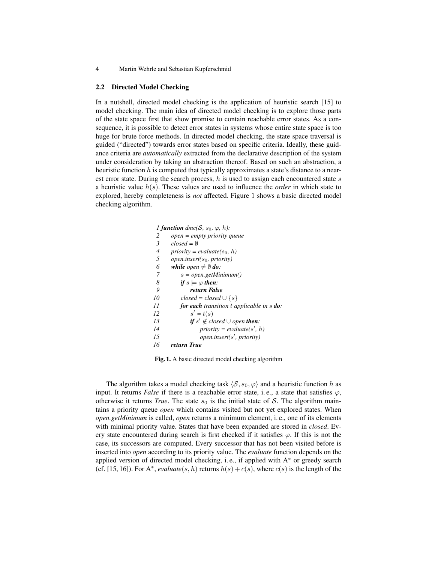4 Martin Wehrle and Sebastian Kupferschmid

## 2.2 Directed Model Checking

In a nutshell, directed model checking is the application of heuristic search [15] to model checking. The main idea of directed model checking is to explore those parts of the state space first that show promise to contain reachable error states. As a consequence, it is possible to detect error states in systems whose entire state space is too huge for brute force methods. In directed model checking, the state space traversal is guided ("directed") towards error states based on specific criteria. Ideally, these guidance criteria are *automatically* extracted from the declarative description of the system under consideration by taking an abstraction thereof. Based on such an abstraction, a heuristic function  $h$  is computed that typically approximates a state's distance to a nearest error state. During the search process,  $h$  is used to assign each encountered state  $s$ a heuristic value h(s). These values are used to influence the *order* in which state to explored, hereby completeness is *not* affected. Figure 1 shows a basic directed model checking algorithm.

|                | 1 function dmc(S, $s_0$ , $\varphi$ , h):                |
|----------------|----------------------------------------------------------|
| 2              | open = empty priority queue                              |
| 3              | $closed = \emptyset$                                     |
| $\overline{4}$ | priority = evaluate( $s_0$ , h)                          |
| 5              | $open.insert(s_0, priority)$                             |
| 6              | while open $\neq \emptyset$ do:                          |
| 7              | $s = open.getMinimum()$                                  |
| 8              | if $s \models \varphi$ then:                             |
| 9              | return False                                             |
| 10             | $closed = closed \cup \{s\}$                             |
| 11             | <b>for each</b> transition t applicable in s <b>do</b> : |
| 12             | $s' = t(s)$                                              |
| 13             | <b>if</b> $s' \notin closed \cup open$ <b>then:</b>      |
| 14             | priority = evaluate(s', h)                               |
| 15             | open.insert(s', priority)                                |
| 16             | return True                                              |

Fig. 1. A basic directed model checking algorithm

The algorithm takes a model checking task  $\langle S, s_0, \varphi \rangle$  and a heuristic function h as input. It returns *False* if there is a reachable error state, i.e., a state that satisfies  $\varphi$ , otherwise it returns *True*. The state  $s_0$  is the initial state of S. The algorithm maintains a priority queue *open* which contains visited but not yet explored states. When *open.getMinimum* is called, *open* returns a minimum element, i. e., one of its elements with minimal priority value. States that have been expanded are stored in *closed*. Every state encountered during search is first checked if it satisfies  $\varphi$ . If this is not the case, its successors are computed. Every successor that has not been visited before is inserted into *open* according to its priority value. The *evaluate* function depends on the applied version of directed model checking, i. e., if applied with A<sup>∗</sup> or greedy search (cf. [15, 16]). For  $A^*$ , *evaluate*(*s*, *h*) returns  $h(s) + c(s)$ , where  $c(s)$  is the length of the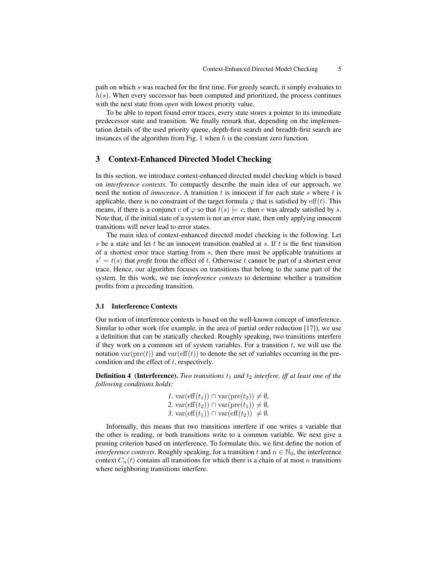path on which s was reached for the first time. For greedy search, it simply evaluates to  $h(s)$ . When every successor has been computed and prioritized, the process continues with the next state from *open* with lowest priority value.

To be able to report found error traces, every state stores a pointer to its immediate predecessor state and transition. We finally remark that, depending on the implementation details of the used priority queue, depth-first search and breadth-first search are instances of the algorithm from Fig. 1 when  $h$  is the constant zero function.

# 3 Context-Enhanced Directed Model Checking

In this section, we introduce context-enhanced directed model checking which is based on *interference contexts*. To compactly describe the main idea of our approach, we need the notion of *innocence*. A transition t is innocent if for each state s where t is applicable, there is no constraint of the target formula  $\varphi$  that is satisfied by eff(t). This means, if there is a conjunct c of  $\varphi$  so that  $t(s) \models c$ , then c was already satisfied by s. Note that, if the initial state of a system is not an error state, then only applying innocent transitions will never lead to error states.

The main idea of context-enhanced directed model checking is the following. Let s be a state and let t be an innocent transition enabled at s. If t is the first transition of a shortest error trace starting from s, then there must be applicable transitions at  $s' = t(s)$  that *profit* from the effect of t. Otherwise t cannot be part of a shortest error trace. Hence, our algorithm focuses on transitions that belong to the same part of the system. In this work, we use *interference contexts* to determine whether a transition profits from a preceding transition.

### 3.1 Interference Contexts

Our notion of interference contexts is based on the well-known concept of interference. Similar to other work (for example, in the area of partial order reduction [17]), we use a definition that can be statically checked. Roughly speaking, two transitions interfere if they work on a common set of system variables. For a transition  $t$ , we will use the notation var $(\text{pre}(t))$  and var $(\text{eff}(t))$  to denote the set of variables occurring in the precondition and the effect of  $t$ , respectively.

**Definition 4 (Interference).** *Two transitions*  $t_1$  *and*  $t_2$  *interfere, iff at least one of the following conditions holds:*

> *1.* var(eff(t<sub>1</sub>))  $\cap$  var(pre(t<sub>2</sub>))  $\neq \emptyset$ , 2. var $\left(\text{eff}(t_2)\right) \cap \text{var}(\text{pre}(t_1)) \neq \emptyset$ , *3.* var(eff(t<sub>1</sub>)) ∩ var(eff(t<sub>2</sub>))  $\neq \emptyset$ *.*

Informally, this means that two transitions interfere if one writes a variable that the other is reading, or both transitions write to a common variable. We next give a pruning criterion based on interference. To formulate this, we first define the notion of *interference contexts*. Roughly speaking, for a transition t and  $n \in \mathbb{N}_0$ , the interference context  $C_n(t)$  contains all transitions for which there is a chain of at most n transitions where neighboring transitions interfere.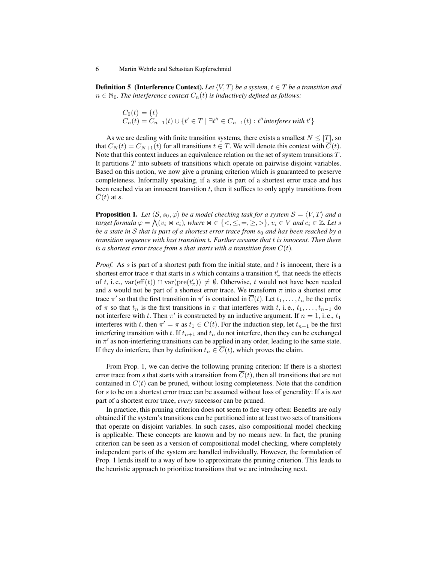**Definition 5** (Interference Context). Let  $\langle V, T \rangle$  be a system,  $t \in T$  be a transition and  $n \in \mathbb{N}_0$ . The interference context  $C_n(t)$  is inductively defined as follows:

$$
C_0(t) = \{t\}
$$
  

$$
C_n(t) = C_{n-1}(t) \cup \{t' \in T \mid \exists t'' \in C_{n-1}(t) : t'' \text{interferes with } t'\}
$$

As we are dealing with finite transition systems, there exists a smallest  $N \leq |T|$ , so that  $C_N(t) = C_{N+1}(t)$  for all transitions  $t \in T$ . We will denote this context with  $C(t)$ . Note that this context induces an equivalence relation on the set of system transitions T. It partitions T into subsets of transitions which operate on pairwise disjoint variables. Based on this notion, we now give a pruning criterion which is guaranteed to preserve completeness. Informally speaking, if a state is part of a shortest error trace and has been reached via an innocent transition  $t$ , then it suffices to only apply transitions from  $C(t)$  at s.

**Proposition 1.** Let  $\langle S, s_0, \varphi \rangle$  be a model checking task for a system  $S = \langle V, T \rangle$  and a *target formula*  $\varphi = \bigwedge (v_i \Join c_i)$ *, where*  $\Join \in \{<,\leq,=,\geq,>\}$ *,*  $v_i \in V$  *and*  $c_i \in \mathbb{Z}$ *. Let s be a state in* S *that is part of a shortest error trace from*  $s_0$  *and has been reached by a transition sequence with last transition* t*. Further assume that* t *is innocent. Then there is a shortest error trace from s that starts with a transition from*  $\overline{C}(t)$ *.* 

*Proof.* As s is part of a shortest path from the initial state, and t is innocent, there is a shortest error trace  $\pi$  that starts in s which contains a transition  $t'_\pi$  that needs the effects of t, i.e.,  $var(eff(t)) \cap var(pre(t'_{\pi})) \neq \emptyset$ . Otherwise, t would not have been needed and s would not be part of a shortest error trace. We transform  $\pi$  into a shortest error trace  $\pi'$  so that the first transition in  $\pi'$  is contained in  $\overline{C}(t)$ . Let  $t_1, \ldots, t_n$  be the prefix of  $\pi$  so that  $t_n$  is the first transitions in  $\pi$  that interferes with t, i.e.,  $t_1, \ldots, t_{n-1}$  do not interfere with t. Then  $\pi'$  is constructed by an inductive argument. If  $n = 1$ , i.e.,  $t_1$ interferes with t, then  $\pi' = \pi$  as  $t_1 \in \overline{C}(t)$ . For the induction step, let  $t_{n+1}$  be the first interfering transition with t. If  $t_{n+1}$  and  $t_n$  do not interfere, then they can be exchanged in  $\pi'$  as non-interfering transitions can be applied in any order, leading to the same state. If they do interfere, then by definition  $t_n \in C(t)$ , which proves the claim.

From Prop. 1, we can derive the following pruning criterion: If there is a shortest error trace from s that starts with a transition from  $\overline{C}(t)$ , then all transitions that are not contained in  $C(t)$  can be pruned, without losing completeness. Note that the condition for s to be on a shortest error trace can be assumed without loss of generality: If s is *not* part of a shortest error trace, *every* successor can be pruned.

In practice, this pruning criterion does not seem to fire very often: Benefits are only obtained if the system's transitions can be partitioned into at least two sets of transitions that operate on disjoint variables. In such cases, also compositional model checking is applicable. These concepts are known and by no means new. In fact, the pruning criterion can be seen as a version of compositional model checking, where completely independent parts of the system are handled individually. However, the formulation of Prop. 1 lends itself to a way of how to approximate the pruning criterion. This leads to the heuristic approach to prioritize transitions that we are introducing next.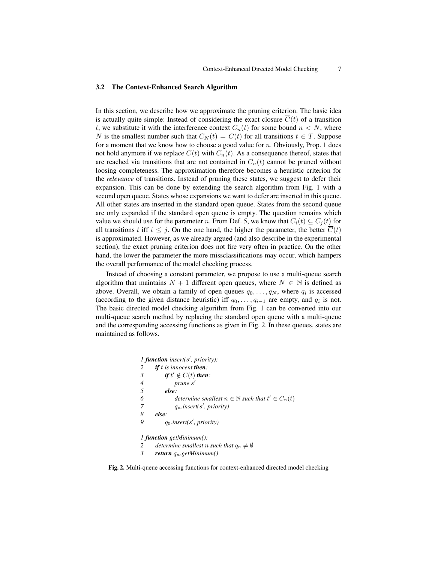### 3.2 The Context-Enhanced Search Algorithm

In this section, we describe how we approximate the pruning criterion. The basic idea is actually quite simple: Instead of considering the exact closure  $\overline{C}(t)$  of a transition t, we substitute it with the interference context  $C_n(t)$  for some bound  $n < N$ , where N is the smallest number such that  $C_N(t) = \overline{C}(t)$  for all transitions  $t \in T$ . Suppose for a moment that we know how to choose a good value for  $n$ . Obviously, Prop. 1 does not hold anymore if we replace  $\overline{C}(t)$  with  $C_n(t)$ . As a consequence thereof, states that are reached via transitions that are not contained in  $C_n(t)$  cannot be pruned without loosing completeness. The approximation therefore becomes a heuristic criterion for the *relevance* of transitions. Instead of pruning these states, we suggest to defer their expansion. This can be done by extending the search algorithm from Fig. 1 with a second open queue. States whose expansions we want to defer are inserted in this queue. All other states are inserted in the standard open queue. States from the second queue are only expanded if the standard open queue is empty. The question remains which value we should use for the parameter n. From Def. 5, we know that  $C_i(t) \subseteq C_i(t)$  for all transitions t iff  $i \leq j$ . On the one hand, the higher the parameter, the better  $\overline{C}(t)$ is approximated. However, as we already argued (and also describe in the experimental section), the exact pruning criterion does not fire very often in practice. On the other hand, the lower the parameter the more missclassifications may occur, which hampers the overall performance of the model checking process.

Instead of choosing a constant parameter, we propose to use a multi-queue search algorithm that maintains  $N + 1$  different open queues, where  $N \in \mathbb{N}$  is defined as above. Overall, we obtain a family of open queues  $q_0, \ldots, q_N$ , where  $q_i$  is accessed (according to the given distance heuristic) iff  $q_0, \ldots, q_{i-1}$  are empty, and  $q_i$  is not. The basic directed model checking algorithm from Fig. 1 can be converted into our multi-queue search method by replacing the standard open queue with a multi-queue and the corresponding accessing functions as given in Fig. 2. In these queues, states are maintained as follows.

```
1 function insert(s
0
, priority):
2 if t is innocent then:
3 if t' \notin \overline{C}(t) then:
4 prune s
0
5 else:
6 determine smallest n \in \mathbb{N} such that t' \in C_n(t)7 qn.insert(s
0
, priority)
8 else:
9 q_0, insert(s', priority)
1 function getMinimum():
```
Fig. 2. Multi-queue accessing functions for context-enhanced directed model checking

*<sup>2</sup>* determine smallest n such that  $q_n \neq \emptyset$ 

*<sup>3</sup> return* qn*.getMinimum()*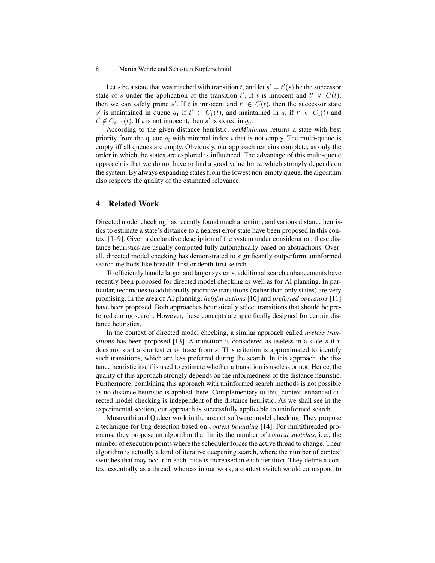Let s be a state that was reached with transition t, and let  $s' = t'(s)$  be the successor state of s under the application of the transition t'. If t is innocent and  $t' \notin \overline{C}(t)$ , then we can safely prune s'. If t is innocent and  $t' \in \overline{C}(t)$ , then the successor state s' is maintained in queue  $q_1$  if  $t' \in C_1(t)$ , and maintained in  $q_i$  if  $t' \in C_i(t)$  and  $t' \notin C_{i-1}(t)$ . If t is not innocent, then s' is stored in  $q_0$ .

According to the given distance heuristic, *getMinimum* returns a state with best priority from the queue  $q_i$  with minimal index i that is not empty. The multi-queue is empty iff all queues are empty. Obviously, our approach remains complete, as only the order in which the states are explored is influenced. The advantage of this multi-queue approach is that we do not have to find a good value for  $n$ , which strongly depends on the system. By always expanding states from the lowest non-empty queue, the algorithm also respects the quality of the estimated relevance.

# 4 Related Work

Directed model checking has recently found much attention, and various distance heuristics to estimate a state's distance to a nearest error state have been proposed in this context [1–9]. Given a declarative description of the system under consideration, these distance heuristics are usually computed fully automatically based on abstractions. Overall, directed model checking has demonstrated to significantly outperform uninformed search methods like breadth-first or depth-first search.

To efficiently handle larger and larger systems, additional search enhancements have recently been proposed for directed model checking as well as for AI planning. In particular, techniques to additionally prioritize transitions (rather than only states) are very promising. In the area of AI planning, *helpful actions* [10] and *preferred operators* [11] have been proposed. Both approaches heuristically select transitions that should be preferred during search. However, these concepts are specifically designed for certain distance heuristics.

In the context of directed model checking, a similar approach called *useless transitions* has been proposed [13]. A transition is considered as useless in a state  $s$  if it does not start a shortest error trace from s. This criterion is approximated to identify such transitions, which are less preferred during the search. In this approach, the distance heuristic itself is used to estimate whether a transition is useless or not. Hence, the quality of this approach strongly depends on the informedness of the distance heuristic. Furthermore, combining this approach with uninformed search methods is not possible as no distance heuristic is applied there. Complementary to this, context-enhanced directed model checking is independent of the distance heuristic. As we shall see in the experimental section, our approach is successfully applicable to uninformed search.

Musuvathi and Qadeer work in the area of software model checking. They propose a technique for bug detection based on *context bounding* [14]. For multithreaded programs, they propose an algorithm that limits the number of *context switches*, i. e., the number of execution points where the scheduler forces the active thread to change. Their algorithm is actually a kind of iterative deepening search, where the number of context switches that may occur in each trace is increased in each iteration. They define a context essentially as a thread, whereas in our work, a context switch would correspond to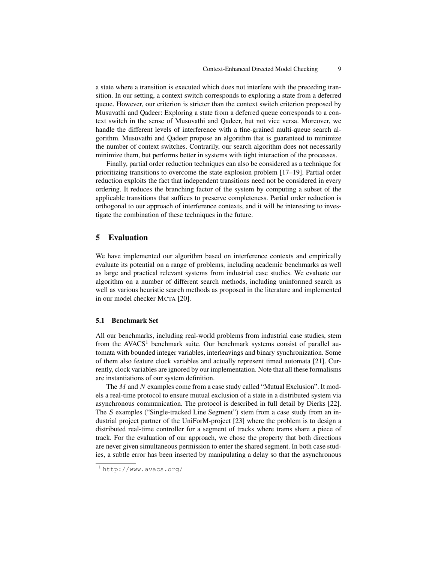a state where a transition is executed which does not interfere with the preceding transition. In our setting, a context switch corresponds to exploring a state from a deferred queue. However, our criterion is stricter than the context switch criterion proposed by Musuvathi and Qadeer: Exploring a state from a deferred queue corresponds to a context switch in the sense of Musuvathi and Qadeer, but not vice versa. Moreover, we handle the different levels of interference with a fine-grained multi-queue search algorithm. Musuvathi and Qadeer propose an algorithm that is guaranteed to minimize the number of context switches. Contrarily, our search algorithm does not necessarily minimize them, but performs better in systems with tight interaction of the processes.

Finally, partial order reduction techniques can also be considered as a technique for prioritizing transitions to overcome the state explosion problem [17–19]. Partial order reduction exploits the fact that independent transitions need not be considered in every ordering. It reduces the branching factor of the system by computing a subset of the applicable transitions that suffices to preserve completeness. Partial order reduction is orthogonal to our approach of interference contexts, and it will be interesting to investigate the combination of these techniques in the future.

# 5 Evaluation

We have implemented our algorithm based on interference contexts and empirically evaluate its potential on a range of problems, including academic benchmarks as well as large and practical relevant systems from industrial case studies. We evaluate our algorithm on a number of different search methods, including uninformed search as well as various heuristic search methods as proposed in the literature and implemented in our model checker MCTA [20].

## 5.1 Benchmark Set

All our benchmarks, including real-world problems from industrial case studies, stem from the  $AVACS<sup>1</sup>$  benchmark suite. Our benchmark systems consist of parallel automata with bounded integer variables, interleavings and binary synchronization. Some of them also feature clock variables and actually represent timed automata [21]. Currently, clock variables are ignored by our implementation. Note that all these formalisms are instantiations of our system definition.

The  $M$  and  $N$  examples come from a case study called "Mutual Exclusion". It models a real-time protocol to ensure mutual exclusion of a state in a distributed system via asynchronous communication. The protocol is described in full detail by Dierks [22]. The S examples ("Single-tracked Line Segment") stem from a case study from an industrial project partner of the UniForM-project [23] where the problem is to design a distributed real-time controller for a segment of tracks where trams share a piece of track. For the evaluation of our approach, we chose the property that both directions are never given simultaneous permission to enter the shared segment. In both case studies, a subtle error has been inserted by manipulating a delay so that the asynchronous

<sup>1</sup> http://www.avacs.org/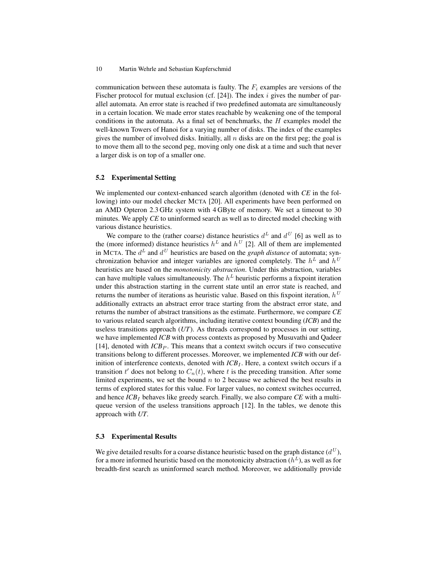communication between these automata is faulty. The  $F_i$  examples are versions of the Fischer protocol for mutual exclusion (cf.  $[24]$ ). The index i gives the number of parallel automata. An error state is reached if two predefined automata are simultaneously in a certain location. We made error states reachable by weakening one of the temporal conditions in the automata. As a final set of benchmarks, the  $H$  examples model the well-known Towers of Hanoi for a varying number of disks. The index of the examples gives the number of involved disks. Initially, all n disks are on the first peg; the goal is to move them all to the second peg, moving only one disk at a time and such that never a larger disk is on top of a smaller one.

## 5.2 Experimental Setting

We implemented our context-enhanced search algorithm (denoted with *CE* in the following) into our model checker MCTA [20]. All experiments have been performed on an AMD Opteron 2.3 GHz system with 4 GByte of memory. We set a timeout to 30 minutes. We apply *CE* to uninformed search as well as to directed model checking with various distance heuristics.

We compare to the (rather coarse) distance heuristics  $d<sup>L</sup>$  and  $d<sup>U</sup>$  [6] as well as to the (more informed) distance heuristics  $h^L$  and  $h^U$  [2]. All of them are implemented in MCTA. The  $d^L$  and  $d^U$  heuristics are based on the *graph distance* of automata; synchronization behavior and integer variables are ignored completely. The  $h<sup>L</sup>$  and  $h<sup>U</sup>$ heuristics are based on the *monotonicity abstraction*. Under this abstraction, variables can have multiple values simultaneously. The  $h<sup>L</sup>$  heuristic performs a fixpoint iteration under this abstraction starting in the current state until an error state is reached, and returns the number of iterations as heuristic value. Based on this fixpoint iteration,  $h^U$ additionally extracts an abstract error trace starting from the abstract error state, and returns the number of abstract transitions as the estimate. Furthermore, we compare *CE* to various related search algorithms, including iterative context bounding (*ICB*) and the useless transitions approach (*UT*). As threads correspond to processes in our setting, we have implemented *ICB* with process contexts as proposed by Musuvathi and Qadeer [14], denoted with  $ICB<sub>P</sub>$ . This means that a context switch occurs if two consecutive transitions belong to different processes. Moreover, we implemented *ICB* with our definition of interference contexts, denoted with  $ICB_I$ . Here, a context switch occurs if a transition  $t'$  does not belong to  $C_n(t)$ , where t is the preceding transition. After some limited experiments, we set the bound  $n$  to 2 because we achieved the best results in terms of explored states for this value. For larger values, no context switches occurred, and hence  $ICB<sub>I</sub>$  behaves like greedy search. Finally, we also compare  $CE$  with a multiqueue version of the useless transitions approach [12]. In the tables, we denote this approach with *UT*.

#### 5.3 Experimental Results

We give detailed results for a coarse distance heuristic based on the graph distance  $(d^U)$ , for a more informed heuristic based on the monotonicity abstraction  $(h^L)$ , as well as for breadth-first search as uninformed search method. Moreover, we additionally provide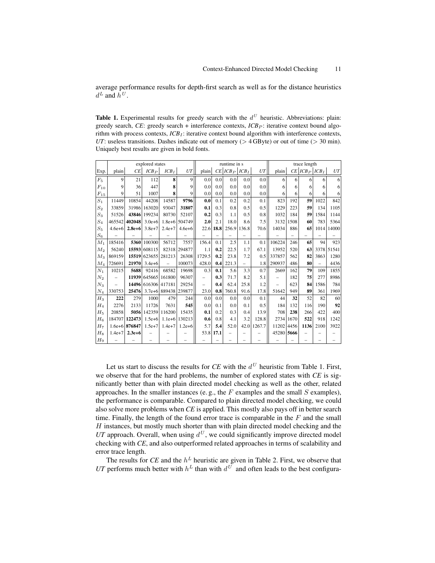average performance results for depth-first search as well as for the distance heuristics  $d^L$  and  $h^U$ .

**Table 1.** Experimental results for greedy search with the  $d^U$  heuristic. Abbreviations: plain: greedy search,  $CE$ : greedy search + interference contexts,  $ICB<sub>P</sub>$ : iterative context bound algorithm with process contexts, *ICB<sub>I</sub>*: iterative context bound algorithm with interference contexts, *UT*: useless transitions. Dashes indicate out of memory (> 4 GByte) or out of time (> 30 min). Uniquely best results are given in bold fonts.

|                | explored states |                 |                     |                      |                 |        | runtime in s |                  |       |        |            | trace length   |                   |      |                |  |
|----------------|-----------------|-----------------|---------------------|----------------------|-----------------|--------|--------------|------------------|-------|--------|------------|----------------|-------------------|------|----------------|--|
| Exp.           | plain           | CE              | $ICB_P$             | $ICB_I$              | UT              | plain  |              | $CE ICB_P ICB_I$ |       | UT     | plain      |                | $CE ICB_P ICB_I $ |      | UT             |  |
| $F_5$          | 9               | 21              | 112                 | 8                    | 9               | 0.0    | 0.0          | 0.0              | 0.0   | 0.0    | 6          | 6 <sup>1</sup> | 6                 | 6    | 6 <sup>1</sup> |  |
| $F_{10}$       | 9               | 36              | 447                 | 8                    | 9               | 0.0    | 0.0          | 0.0              | 0.0   | 0.0    | 6          | 6              | 6                 | 6    | 6 <sup>1</sup> |  |
| $F_{15}$       | 9               | 51              | 1007                | 8                    | 9               | 0.0    | 0.0          | 0.0              | 0.0   | 0.0    | 6          | 6              | 6                 | 6    | 6 <sup>1</sup> |  |
| $S_1$          | 11449           | 10854           | 44208               | 14587                | 9796            | 0.0    | 0.1          | 0.2              | 0.2   | 0.1    | 823        | 192            | 59                | 1022 | 842            |  |
| $S_2$          | 33859           | 31986           | 163020              | 93047                | 31807           | 0.1    | 0.3          | 0.8              | 0.5   | 0.5    | 1229       | 223            | 59                | 134  | 1105           |  |
| $S_3$          | 51526           | 43846           | 199234              | 80730                | 52107           | 0.2    | 0.3          | 1.1              | 0.5   | 0.8    | 1032       | 184            | 59                | 1584 | 1144           |  |
| $S_4$          | 465542          | 402048          | $3.0e + 6$          |                      | $1.8e+6$ 504749 | 2.0    | 2.1          | 18.0             | 8.6   | 7.5    | 3132       | 1508           | 60                | 783  | 5364           |  |
| $S_5$          | $4.6e + 6$      | $2.8e + 6$      | $3.8e + 7$          | $2.4e + 7$           | $4.6e + 6$      | 22.6   | 18.8         | 256.9            | 136.8 | 70.6   | 14034      | 886            | 65                | 1014 | 14000          |  |
| $S_6$          |                 |                 |                     |                      |                 |        |              |                  |       |        |            |                |                   |      |                |  |
| $M_1$          | 185416          | 5360            | 100300              | 56712                | 7557            | 156.4  | 0.1          | 2.5              | 1.1   | 0.1    | 106224     | 246            | 65                | 94   | 923            |  |
| $M_2$          | 56240           |                 | 15593 608115        |                      | 82318 294877    | 1.1    | 0.2          | 22.5             | 1.7   | 67.1   | 13952      | 520            | 63                |      | 3378 51541     |  |
| $M_3$          | 869159          |                 | 15519 623655 281213 |                      | 26308           | 1729.5 | 0.2          | 23.8             | 7.2   | 0.5    | 337857     | 562            | 82                | 3863 | 1280           |  |
| $M_4$          | 726691          | 21970           | $3.4e + 6$          |                      | 100073          | 428.0  | 0.4          | 221.3            |       | 1.8    | 290937     | 486            | 80                |      | 4436           |  |
| $N_1$          | 10215           | 5688            | 92416               | 68582                | 19698           | 0.3    | 0.1          | 5.6              | 3.3   | 0.7    | 2669       | 162            | 79                | 109  | 1855           |  |
| N <sub>2</sub> |                 | 11939           |                     | 645665 161800        | 96307           |        | 0.3          | 71.7             | 8.2   | 5.1    |            | 182            | 75                | 277  | 8986           |  |
| $N_3$          |                 |                 | 14496 616306 417181 |                      | 29254           |        | 0.4          | 62.4             | 25.8  | 1.2    |            | 623            | 84                | 1586 | 784            |  |
| $N_4$          | 330753          | 25476           |                     | 3.7e+6 889438 239877 |                 | 23.0   | 0.8          | 760.8            | 91.6  | 17.8   | 51642      | 949            | 89                | 361  | 1969           |  |
| $H_3$          | 222             | 279             | 1000                | 479                  | 244             | 0.0    | 0.0          | 0.0              | 0.0   | 0.1    | 44         | 32             | 52                | 82   | 60             |  |
| $H_4$          | 2276            | 2133            | 11726               | 7631                 | 545             | 0.0    | 0.1          | 0.0              | 0.1   | 0.5    | 184        | 132            | 116               | 190  | 92             |  |
| $H_5$          | 20858           | 5056            | 142359              | 116200               | 15435           | 0.1    | 0.2          | 0.3              | 0.4   | 13.9   | 708        | 238            | 266               | 422  | 400            |  |
| $H_6$          |                 | 184707 122473   | $1.5e + 6$          | $1.1e+6$             | 130213          | 0.6    | 0.8          | 4.1              | 3.2   | 128.8  | 2734       | 1670           | 522               | 918  | 1242           |  |
| $H_7$          |                 | $1.6e+6$ 876847 | $1.5e + 7$          | $1.4e+7$             | $1.2e + 6$      | 5.7    | 5.4          | 52.0             | 42.0  | 1267.7 | 11202      | 4456           | 1136              | 2100 | 3922           |  |
| $H_8$          | $1.4e+7$        | $2.3e+6$        |                     |                      |                 | 53.8   | 17.1         |                  |       |        | 45280 5666 |                |                   |      |                |  |
| $H_9$          |                 |                 |                     |                      |                 |        |              |                  |       |        |            |                |                   |      |                |  |

Let us start to discuss the results for  $CE$  with the  $d<sup>U</sup>$  heuristic from Table 1. First, we observe that for the hard problems, the number of explored states with *CE* is significantly better than with plain directed model checking as well as the other, related approaches. In the smaller instances (e.g., the  $F$  examples and the small  $S$  examples), the performance is comparable. Compared to plain directed model checking, we could also solve more problems when *CE* is applied. This mostly also pays off in better search time. Finally, the length of the found error trace is comparable in the  $F$  and the small  $H$  instances, but mostly much shorter than with plain directed model checking and the UT approach. Overall, when using  $d^U$ , we could significantly improve directed model checking with *CE*, and also outperformed related approaches in terms of scalability and error trace length.

The results for  $CE$  and the  $h<sup>L</sup>$  heuristic are given in Table 2. First, we observe that UT performs much better with  $h^L$  than with  $d^U$  and often leads to the best configura-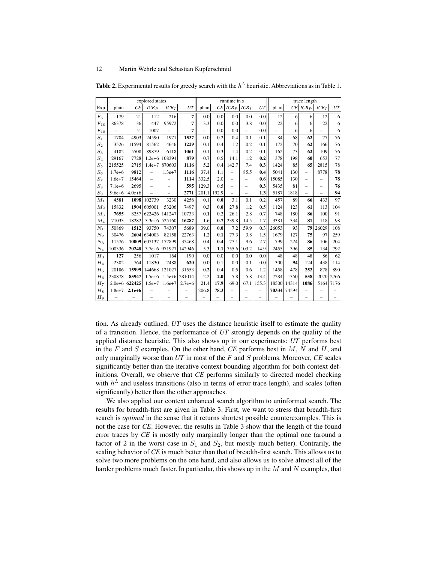|                 | explored states |            |                          |                          |                |       | runtime in s |                          |                          |             | trace length |       |                          |          |      |
|-----------------|-----------------|------------|--------------------------|--------------------------|----------------|-------|--------------|--------------------------|--------------------------|-------------|--------------|-------|--------------------------|----------|------|
| Exp.            | plain           | CE         | $ICB_P$                  | $ICB_I$                  | UT             | plain |              | $CE ICB_P ICB_I$         |                          | $_{\it UT}$ | plain        |       | $CE ICB_P$               | $ICB_I$  | UT   |
| $F_5$           | 179             | 21         | 112                      | 216                      | $\overline{7}$ | 0.0   | 0.0          | 0.0                      | 0.0                      | 0.0         | 12           | 6     | 6                        | 12       | 6    |
| $F_{10}$        | 86378           | 36         | 447                      | 95972                    | 7              | 3.3   | 0.0          | 0.0                      | 3.8                      | 0.0         | 22           | 6     | 6                        | 22       | 6    |
| $F_{15}$        |                 | 51         | 1007                     |                          | 7              |       | 0.0          | 0.0                      |                          | 0.0         |              | 6     | 6                        |          | 6    |
| $S_1$           | 1704            | 4903       | 24590                    | 1971                     | 1537           | 0.0   | 0.2          | 0.4                      | 0.1                      | 0.1         | 84           | 68    | 62                       | 77       | 76   |
| $S_{2}$         | 3526            | 11594      | 81562                    | 4646                     | 1229           | 0.1   | 0.4          | 1.2                      | 0.2                      | 0.1         | 172          | 70    | 62                       | 166      | 76   |
| $S_3$           | 4182            | 5508       | 89879                    | 6118                     | 1061           | 0.1   | 0.3          | 1.4                      | 0.2                      | 0.1         | 162          | 73    | 62                       | 109      | 76   |
| $S_4$           | 29167           | 7728       | $1.2e + 6$               | 108394                   | 879            | 0.7   | 0.5          | 14.1                     | 1.2                      | 0.2         | 378          | 198   | 60                       | 653      | 77   |
| $S_5$           | 215525          | 2715       | $1.4e+7$                 | 870603                   | 1116           | 5.2   | 0.4          | 142.7                    | 7.4                      | 0.3         | 1424         | 85    | 65                       | 2815     | 78   |
| $S_6$           | $1.7e + 6$      | 9812       | $\overline{\phantom{0}}$ | $1.3e + 7$               | 1116           | 37.4  | 1.1          | $\overline{\phantom{0}}$ | 85.5                     | 0.4         | 5041         | 130   | $\overline{\phantom{0}}$ | 8778     | 78   |
| $S_7$           | $1.6e + 7$      | 15464      |                          | $\overline{\phantom{0}}$ | 1114           | 332.5 | 2.0          | $\equiv$                 | -                        | 0.6         | 15085        | 130   | $\equiv$                 | -        | 78   |
| $S_8$           | $7.1e+6$        | 2695       | $=$                      | $\overline{\phantom{0}}$ | 595            | 129.3 | 0.5          | ۳                        | -                        | 0.3         | 5435         | 81    | $=$                      | $\equiv$ | 76   |
| $S_9$           | $9.6e + 6$      | $4.0e + 6$ |                          |                          | 2771           | 201.1 | 192.9        | L,                       | $\overline{\phantom{0}}$ | 1.3         | 5187         | 1818  | $=$                      |          | 94   |
| $M_1$           | 4581            | 1098       | 102739                   | 3230                     | 4256           | 0.1   | 0.0          | 3.1                      | 0.1                      | 0.2         | 457          | 89    | 66                       | 433      | 97   |
| $M_2$           | 15832           | 1904       | 605001                   | 53206                    | 7497           | 0.3   | 0.0          | 27.8                     | 1.2                      | 0.5         | 1124         | 123   | 61                       | 113      | 104  |
| $M_3$           | 7655            | 8257       | 622426                   | 141247                   | 10733          | 0.1   | 0.2          | 26.1                     | 2.8                      | 0.7         | 748          | 180   | 86                       | 100      | 91   |
| $M_4$           | 71033           | 18282      |                          | $3.3e+6$ 525160          | 16287          | 1.6   | 0.7          | 239.8                    | 14.5                     | 1.7         | 3381         | 334   | 81                       | 118      | 98   |
| $N_1$           | 50869           | 1512       | 93750                    | 74307                    | 5689           | 39.0  | 0.0          | 7.2                      | 59.9                     | 0.3         | 26053        | 93    | 79                       | 26029    | 108  |
| $N_2$           | 30476           | 2604       | 634003                   | 82158                    | 22763          | 1.2   | 0.1          | 77.3                     | 3.8                      | 1.5         | 1679         | 127   | 75                       | 97       | 259  |
| $N_3$           | 11576           | 10009      | 607137                   | 177899                   | 35468          | 0.4   | 0.4          | 77.1                     | 9.6                      | 2.7         | 799          | 224   | 86                       | 106      | 204  |
| $N_4$           | 100336          | 20248      | $3.7e + 6$               | 971927                   | 142946         | 5.3   | 1.1          | 755.6                    | 103.2                    | 14.9        | 2455         | 396   | 85                       | 134      | 792  |
| $\mathcal{H}_3$ | 127             | 256        | 1017                     | 164                      | 190            | 0.0   | 0.0          | 0.0                      | 0.0                      | 0.0         | 48           | 48    | 48                       | 86       | 62   |
| $H_4$           | 2302            | 764        | 11830                    | 7488                     | 620            | 0.0   | 0.1          | 0.0                      | 0.1                      | 0.0         | 300          | 94    | 124                      | 438      | 114  |
| $H_5$           | 20186           | 15999      | 144668                   | 121027                   | 31553          | 0.2   | 0.4          | 0.5                      | 0.6                      | 1.2         | 1458         | 478   | 252                      | 878      | 890  |
| $H_6$           | 230878          | 85947      | $1.5e + 6$               | $1.5e + 6$               | 281014         | 2.2   | 2.0          | 5.8                      | 5.8                      | 13.4        | 7284         | 1350  | 558                      | 2070     | 2766 |
| H <sub>7</sub>  | $2.0e + 6$      | 622425     | $1.5e+7$                 | $1.6e + 7$               | $2.7e + 6$     | 21.4  | 17.9         | 69.0                     | 67.1                     | 155.3       | 18500        | 14314 | 1086                     | 5164     | 7176 |
| $H_8$           | $1.8e + 7$      | $2.1e + 6$ |                          |                          |                | 206.8 | 78.3         |                          |                          |             | 70334        | 74594 |                          |          |      |
| $H_9$           |                 |            |                          |                          |                |       |              |                          |                          | $\equiv$    |              |       |                          |          |      |

**Table 2.** Experimental results for greedy search with the  $h^L$  heuristic. Abbreviations as in Table 1.

tion. As already outlined, *UT* uses the distance heuristic itself to estimate the quality of a transition. Hence, the performance of *UT* strongly depends on the quality of the applied distance heuristic. This also shows up in our experiments: *UT* performs best in the  $F$  and  $S$  examples. On the other hand,  $CE$  performs best in  $M$ ,  $N$  and  $H$ , and only marginally worse than *UT* in most of the F and S problems. Moreover, *CE* scales significantly better than the iterative context bounding algorithm for both context definitions. Overall, we observe that *CE* performs similarly to directed model checking with  $h<sup>L</sup>$  and useless transitions (also in terms of error trace length), and scales (often significantly) better than the other approaches.

We also applied our context enhanced search algorithm to uninformed search. The results for breadth-first are given in Table 3. First, we want to stress that breadth-first search is *optimal* in the sense that it returns shortest possible counterexamples. This is not the case for *CE*. However, the results in Table 3 show that the length of the found error traces by *CE* is mostly only marginally longer than the optimal one (around a factor of 2 in the worst case in  $S_1$  and  $S_2$ , but mostly much better). Contrarily, the scaling behavior of *CE* is much better than that of breadth-first search. This allows us to solve two more problems on the one hand, and also allows us to solve almost all of the harder problems much faster. In particular, this shows up in the  $M$  and  $N$  examples, that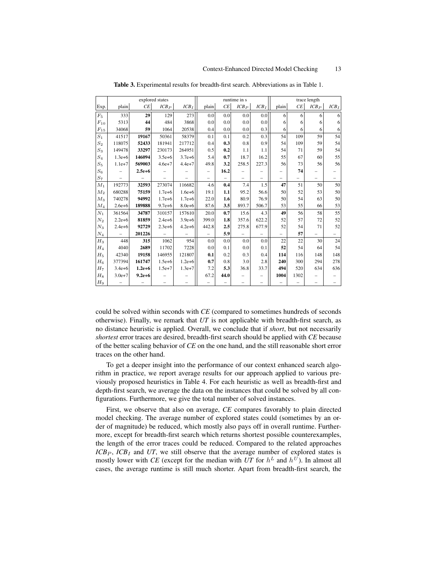|                 |                          |            |            | runtime in s |       | trace length |         |                          |       |      |         |                     |
|-----------------|--------------------------|------------|------------|--------------|-------|--------------|---------|--------------------------|-------|------|---------|---------------------|
| Exp.            | plain                    | CE         | $ICB_P$    | $ICB_I$      | plain | CE           | $ICB_P$ | $ICB_I$                  | plain | CE   | $ICB_P$ | $ICB_{\mathcal{I}}$ |
| $F_5$           | 333                      | 29         | 129        | 273          | 0.0   | 0.0          | 0.0     | 0.0                      | 6     | 6    | 6       | 6                   |
| $F_{10}$        | 5313                     | 44         | 484        | 3868         | 0.0   | 0.0          | 0.0     | 0.0                      | 6     | 6    | 6       | 6                   |
| $F_{15}$        | 34068                    | 59         | 1064       | 20538        | 0.4   | 0.0          | 0.0     | 0.3                      | 6     | 6    | 6       | 6                   |
| $S_1$           | 41517                    | 19167      | 50361      | 58379        | 0.1   | 0.1          | 0.2     | 0.3                      | 54    | 109  | 59      | 54                  |
| $S_2$           | 118075                   | 52433      | 181941     | 217712       | 0.4   | 0.3          | 0.8     | 0.9                      | 54    | 109  | 59      | 54                  |
| $\mathcal{S}_3$ | 149478                   | 33297      | 230173     | 264951       | 0.5   | 0.2          | 1.1     | 1.1                      | 54    | 71   | 59      | 54                  |
| $\mathcal{S}_4$ | $1.3e + 6$               | 146094     | $3.5e + 6$ | $3.7e + 6$   | 5.4   | 0.7          | 18.7    | 16.2                     | 55    | 67   | 60      | 55                  |
| $\mathcal{S}_5$ | $1.1e+7$                 | 569003     | $4.6e + 7$ | $4.4e + 7$   | 49.8  | 3.2          | 258.5   | 227.3                    | 56    | 73   | 56      | 56                  |
| $S_{6}$         |                          | $2.5e + 6$ |            |              | -     | 16.2         |         |                          |       | 74   |         |                     |
| $\mathcal{S}_7$ |                          |            |            |              |       |              |         |                          |       |      |         |                     |
| $\mathcal{M}_1$ | 192773                   | 32593      | 273074     | 116682       | 4.6   | 0.4          | 7.4     | 1.5                      | 47    | 51   | 50      | 50                  |
| $M_2$           | 680288                   | 75159      | $1.7e + 6$ | $1.6e + 6$   | 19.1  | 1.1          | 95.2    | 56.6                     | 50    | 52   | 53      | 50                  |
| $M_3$           | 740278                   | 94992      | $1.7e + 6$ | $1.7e + 6$   | 22.0  | 1.6          | 80.9    | 76.9                     | 50    | 54   | 63      | 50                  |
| $M_4$           | $2.6e + 6$               | 189888     | $9.7e + 6$ | $8.0e + 6$   | 87.6  | 3.5          | 893.7   | 506.7                    | 53    | 55   | 66      | 53                  |
| $\mathcal{N}_1$ | 361564                   | 34787      | 310157     | 157610       | 20.0  | 0.7          | 15.6    | 4.3                      | 49    | 56   | 58      | 55                  |
| $N_2$           | $2.2e + 6$               | 81859      | $2.4e + 6$ | $3.9e + 6$   | 399.0 | 1.8          | 357.6   | 622.2                    | 52    | 57   | 72      | 52                  |
| $N_3$           | $2.4e + 6$               | 92729      | $2.3e + 6$ | $4.2e + 6$   | 442.8 | 2.5          | 275.8   | 677.9                    | 52    | 54   | 71      | 52                  |
| $N_{\rm 4}$     | $\overline{\phantom{0}}$ | 201226     |            |              |       | 5.9          |         |                          |       | 57   |         |                     |
| $H_3$           | 448                      | 315        | 1062       | 954          | 0.0   | 0.0          | 0.0     | 0.0                      | 22    | 22   | 30      | 24                  |
| $H_4$           | 4040                     | 2689       | 11702      | 7228         | 0.0   | 0.1          | 0.0     | 0.1                      | 52    | 54   | 64      | 54                  |
| $H_5$           | 42340                    | 19158      | 146955     | 121807       | 0.1   | 0.2          | 0.3     | 0.4                      | 114   | 116  | 148     | 148                 |
| $H_6$           | 377394                   | 161747     | $1.5e + 6$ | $1.2e + 6$   | 0.7   | 0.8          | 3.0     | 2.8                      | 240   | 300  | 294     | 278                 |
| $H_7$           | $3.4e + 6$               | $1.2e + 6$ | $1.5e + 7$ | $1.3e + 7$   | 7.2   | 5.3          | 36.8    | 33.7                     | 494   | 520  | 634     | 636                 |
| $H_8$           | $3.0e + 7$               | $9.2e + 6$ |            |              | 67.2  | 44.0         |         | -                        | 1004  | 1302 |         |                     |
| $H_9$           |                          |            |            |              |       |              |         | $\overline{\phantom{0}}$ |       |      |         |                     |

Table 3. Experimental results for breadth-first search. Abbreviations as in Table 1.

could be solved within seconds with *CE* (compared to sometimes hundreds of seconds otherwise). Finally, we remark that *UT* is not applicable with breadth-first search, as no distance heuristic is applied. Overall, we conclude that if *short*, but not necessarily *shortest* error traces are desired, breadth-first search should be applied with *CE* because of the better scaling behavior of *CE* on the one hand, and the still reasonable short error traces on the other hand.

To get a deeper insight into the performance of our context enhanced search algorithm in practice, we report average results for our approach applied to various previously proposed heuristics in Table 4. For each heuristic as well as breadth-first and depth-first search, we average the data on the instances that could be solved by all configurations. Furthermore, we give the total number of solved instances.

First, we observe that also on average, *CE* compares favorably to plain directed model checking. The average number of explored states could (sometimes by an order of magnitude) be reduced, which mostly also pays off in overall runtime. Furthermore, except for breadth-first search which returns shortest possible counterexamples, the length of the error traces could be reduced. Compared to the related approaches  $ICB<sub>P</sub>$ ,  $ICB<sub>I</sub>$  and UT, we still observe that the average number of explored states is mostly lower with *CE* (except for the median with *UT* for  $h^L$  and  $h^U$ ). In almost all cases, the average runtime is still much shorter. Apart from breadth-first search, the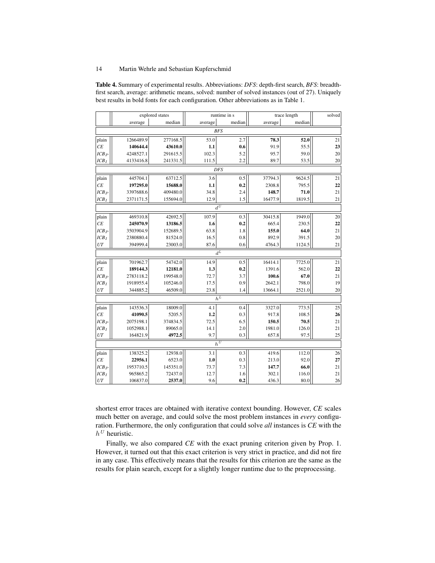Table 4. Summary of experimental results. Abbreviations: *DFS*: depth-first search, *BFS*: breadthfirst search, average: arithmetic means, solved: number of solved instances (out of 27). Uniquely best results in bold fonts for each configuration. Other abbreviations as in Table 1.

|                    |                    | explored states |         | runtime in s | trace length | solved |                 |  |  |  |  |  |
|--------------------|--------------------|-----------------|---------|--------------|--------------|--------|-----------------|--|--|--|--|--|
|                    | average            | median          | average | median       | average      | median |                 |  |  |  |  |  |
|                    | <b>BFS</b>         |                 |         |              |              |        |                 |  |  |  |  |  |
| plain              | 1266489.9          | 277168.5        | 53.0    | 2.7          | 78.3         | 52.0   | 21              |  |  |  |  |  |
| CE                 | 140644.4           | 43610.0         | 1.1     | 0.6          | 91.9         | 55.5   | 23              |  |  |  |  |  |
| $ICB_P$            | 4248527.1          | 291615.5        | 102.3   | 5.2          | 95.7         | 59.0   | 20 <sup>2</sup> |  |  |  |  |  |
| $ICB_I$            | 4133416.8          | 241331.5        | 111.5   | 2.2          | 89.7         | 53.5   | 20 <sup>2</sup> |  |  |  |  |  |
|                    | <b>DFS</b>         |                 |         |              |              |        |                 |  |  |  |  |  |
| plain              | 445704.1           | 63712.5         | 3.6     | 0.5          | 37794.3      | 9624.5 | 21              |  |  |  |  |  |
| CE                 | 197295.0           | 15688.0         | 1.1     | 0.2          | 2308.8       | 795.5  | 22              |  |  |  |  |  |
| $ICB_P$            | 3397688.6          | 409480.0        | 34.8    | 2.4          | 148.7        | 71.0   | 21              |  |  |  |  |  |
| $ICB_I$            | 2371171.5          | 155694.0        | 12.9    | 1.5          | 16477.9      | 1819.5 | 21              |  |  |  |  |  |
|                    | $\overline{d^{U}}$ |                 |         |              |              |        |                 |  |  |  |  |  |
| plain              | 469310.8           | 42692.5         | 107.9   | 0.3          | 30415.8      | 1949.0 | 20 <sup>2</sup> |  |  |  |  |  |
| CE                 | 245070.9           | 13186.5         | 1.6     | 0.2          | 665.4        | 230.5  | 22              |  |  |  |  |  |
| $ICB_P$            | 3503904.9          | 152689.5        | 63.8    | 1.8          | 155.0        | 64.0   | 21              |  |  |  |  |  |
| $ICB_I$            | 2380880.4          | 81524.0         | 16.5    | 0.8          | 892.9        | 391.5  | 20 <sup>2</sup> |  |  |  |  |  |
| ${\cal U}{\cal T}$ | 394999.4           | 23003.0         | 87.6    | 0.6          | 4764.3       | 1124.5 | 21              |  |  |  |  |  |
|                    |                    |                 |         | $d^L$        |              |        |                 |  |  |  |  |  |
| plain              | 701962.7           | 54742.0         | 14.9    | 0.5          | 16414.1      | 7725.0 | 21              |  |  |  |  |  |
| CE                 | 189144.3           | 12181.0         | 1.3     | 0.2          | 1391.6       | 562.0  | 22              |  |  |  |  |  |
| $ICB_P$            | 2783118.2          | 199548.0        | 72.7    | 3.7          | 100.6        | 67.0   | 21              |  |  |  |  |  |
| $ICB_I$            | 1918955.4          | 105246.0        | 17.5    | 0.9          | 2642.1       | 798.0  | 19              |  |  |  |  |  |
| $_{UT}$            | 344885.2           | 46509.0         | 23.8    | 1.4          | 13664.1      | 2521.0 | 20 <sub>2</sub> |  |  |  |  |  |
|                    |                    |                 |         | $h^L$        |              |        |                 |  |  |  |  |  |
| plain              | 143536.3           | 18009.0         | 4.1     | 0.4          | 3327.0       | 773.5  | 25              |  |  |  |  |  |
| CE                 | 41090.5            | 5205.5          | 1.2     | 0.3          | 917.8        | 108.5  | 26              |  |  |  |  |  |
| $ICB_P$            | 2075198.1          | 374834.5        | 72.5    | 6.5          | 150.5        | 70.5   | 21              |  |  |  |  |  |
| $ICB_I$            | 1052988.1          | 89065.0         | 14.1    | 2.0          | 1981.0       | 126.0  | 21              |  |  |  |  |  |
| ${\cal U}{\cal T}$ | 164821.9           | 4972.5          | 9.7     | 0.3          | 657.8        | 97.5   | 25              |  |  |  |  |  |
|                    |                    |                 |         | $h^U$        |              |        |                 |  |  |  |  |  |
| plain              | 138325.2           | 12938.0         | 3.1     | 0.3          | 419.6        | 112.0  | 26              |  |  |  |  |  |
| CE                 | 22956.1            | 6523.0          | 1.0     | 0.3          | 213.0        | 92.0   | 27              |  |  |  |  |  |
| $ICB_P$            | 1953710.5          | 145351.0        | 73.7    | 7.3          | 147.7        | 66.0   | 21              |  |  |  |  |  |
| $ICB_I$            | 965865.2           | 72437.0         | 12.7    | 1.6          | 302.1        | 116.0  | 21              |  |  |  |  |  |
| ${\cal U}{\cal T}$ | 106837.0           | 2537.0          | 9.6     | 0.2          | 436.3        | 80.0   | 26              |  |  |  |  |  |

shortest error traces are obtained with iterative context bounding. However, *CE* scales much better on average, and could solve the most problem instances in *every* configuration. Furthermore, the only configuration that could solve *all* instances is *CE* with the  $h^U$  heuristic.

Finally, we also compared *CE* with the exact pruning criterion given by Prop. 1. However, it turned out that this exact criterion is very strict in practice, and did not fire in any case. This effectively means that the results for this criterion are the same as the results for plain search, except for a slightly longer runtime due to the preprocessing.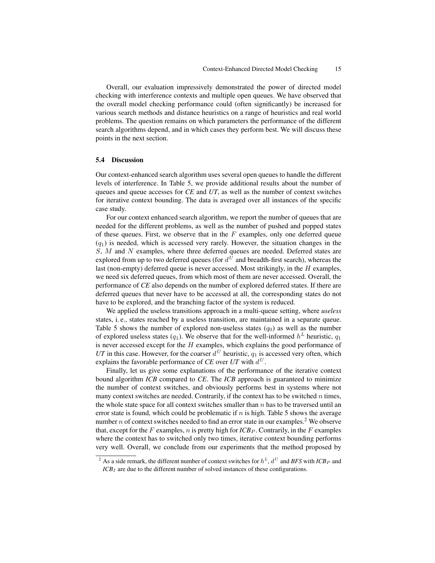Overall, our evaluation impressively demonstrated the power of directed model checking with interference contexts and multiple open queues. We have observed that the overall model checking performance could (often significantly) be increased for various search methods and distance heuristics on a range of heuristics and real world problems. The question remains on which parameters the performance of the different search algorithms depend, and in which cases they perform best. We will discuss these points in the next section.

## 5.4 Discussion

Our context-enhanced search algorithm uses several open queues to handle the different levels of interference. In Table 5, we provide additional results about the number of queues and queue accesses for *CE* and *UT*, as well as the number of context switches for iterative context bounding. The data is averaged over all instances of the specific case study.

For our context enhanced search algorithm, we report the number of queues that are needed for the different problems, as well as the number of pushed and popped states of these queues. First, we observe that in the  $F$  examples, only one deferred queue  $(q_1)$  is needed, which is accessed very rarely. However, the situation changes in the S, M and N examples, where three deferred queues are needed. Deferred states are explored from up to two deferred queues (for  $d^U$  and breadth-first search), whereas the last (non-empty) deferred queue is never accessed. Most strikingly, in the  $H$  examples, we need six deferred queues, from which most of them are never accessed. Overall, the performance of *CE* also depends on the number of explored deferred states. If there are deferred queues that never have to be accessed at all, the corresponding states do not have to be explored, and the branching factor of the system is reduced.

We applied the useless transitions approach in a multi-queue setting, where *useless* states, i. e., states reached by a useless transition, are maintained in a separate queue. Table 5 shows the number of explored non-useless states  $(q_0)$  as well as the number of explored useless states  $(q_1)$ . We observe that for the well-informed  $h^L$  heuristic,  $q_1$ is never accessed except for the  $H$  examples, which explains the good performance of UT in this case. However, for the coarser  $d^U$  heuristic,  $q_1$  is accessed very often, which explains the favorable performance of  $CE$  over  $UT$  with  $d^U$ .

Finally, let us give some explanations of the performance of the iterative context bound algorithm *ICB* compared to *CE*. The *ICB* approach is guaranteed to minimize the number of context switches, and obviously performs best in systems where not many context switches are needed. Contrarily, if the context has to be switched  $n$  times, the whole state space for all context switches smaller than  $n$  has to be traversed until an error state is found, which could be problematic if n is high. Table 5 shows the average number  $n$  of context switches needed to find an error state in our examples.<sup>2</sup> We observe that, except for the  $F$  examples,  $n$  is pretty high for  $ICB<sub>P</sub>$ . Contrarily, in the  $F$  examples where the context has to switched only two times, iterative context bounding performs very well. Overall, we conclude from our experiments that the method proposed by

<sup>&</sup>lt;sup>2</sup> As a side remark, the different number of context switches for  $h^L$ ,  $d^U$  and *BFS* with *ICB*P and *ICBI* are due to the different number of solved instances of these configurations.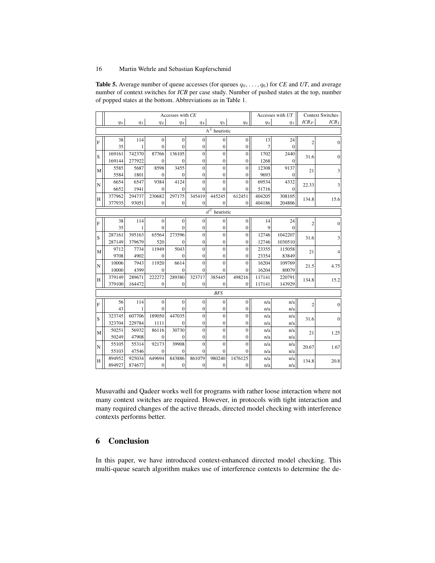**Table 5.** Average number of queue accesses (for queues  $q_0, \ldots, q_6$ ) for *CE* and *UT*, and average number of context switches for *ICB* per case study. Number of pushed states at the top, number of popped states at the bottom. Abbreviations as in Table 1.

|                              | Accesses with CE |              |                |                |              |                  |                  |        | Accesses with UT | <b>Context Switches</b> |                     |  |
|------------------------------|------------------|--------------|----------------|----------------|--------------|------------------|------------------|--------|------------------|-------------------------|---------------------|--|
|                              | $q_0$            | $q_1$        | $q_2$          | $q_3$          | $q_4$        | $q_5$            | $q_6$            | $q_0$  | $q_1$            | $ICB_P$                 | $ICB_{\mathcal{I}}$ |  |
| $\overline{h^L}$ heuristic   |                  |              |                |                |              |                  |                  |        |                  |                         |                     |  |
| F                            | 38               | 114          | $\mathbf{0}$   | $\Omega$       | $\theta$     | $\theta$         | $\vert 0 \vert$  | 13     | 24               |                         |                     |  |
|                              | 35               | 1            | $\theta$       | $\Omega$       | $\mathbf{0}$ | 0                | 0                | 7      | $\overline{0}$   | $\overline{c}$          | 0                   |  |
| S                            | 169161           | 742370       | 87766          | 136105         | $\theta$     | $\overline{0}$   | $\overline{0}$   | 1702   | 2440             | 31.6                    | $\boldsymbol{0}$    |  |
|                              | 169144           | 277922       | $\overline{0}$ | $\mathbf{0}$   | $\mathbf{0}$ | $\overline{0}$   | $\boldsymbol{0}$ | 1268   | $\mathbf{0}$     |                         |                     |  |
| M                            | 5585             | 5687         | 8598           | 3455           | $\theta$     | $\theta$         | $\overline{0}$   | 12308  | 9137             | 21                      | 3                   |  |
|                              | 5584             | 1801         | $\mathbf{0}$   | $\Omega$       | $\mathbf{0}$ | $\mathbf{0}$     | 0                | 9693   | $\mathbf{0}$     |                         |                     |  |
| $\overline{N}$               | 6654             | 6547         | 9384           | 4124           | $\Omega$     | $\theta$         | $\overline{0}$   | 69534  | 4332             | 22.33                   | 3                   |  |
|                              | 6652             | 1941         | $\Omega$       | $\Omega$       | $\mathbf{0}$ | 0                | 0                | 51716  | $\theta$         |                         |                     |  |
| H                            | 377962           | 294737       | 230682         | 297175         | 345419       | 445245           | 612451           | 404205 | 308105           | 134.8                   | 15.6                |  |
|                              | 377935           | 93051        | $\mathbf{0}$   | $\mathbf{0}$   | $\mathbf{0}$ | $\overline{0}$   | 0                | 404186 | 204806           |                         |                     |  |
| $\overline{d^{U}}$ heuristic |                  |              |                |                |              |                  |                  |        |                  |                         |                     |  |
| F                            | 38               | 114          | $\mathbf{0}$   | $\overline{0}$ | $\Omega$     | $\boldsymbol{0}$ | $\vert 0 \vert$  | 14     | 24               | $\overline{c}$          | $\mathbf{0}$        |  |
|                              | 35               | 1            | 0              | $\mathbf{0}$   | $\mathbf{0}$ | 0                | $\mathbf{0}$     | 9      | 0                |                         |                     |  |
| S                            | 287161           | 395163       | 65564          | 273596         | $\Omega$     | $\overline{0}$   | $\boldsymbol{0}$ | 12746  | 1042207          | 31.6                    | 3                   |  |
|                              | 287149           | 379679       | 520            | $\mathbf{0}$   | $\mathbf{0}$ | $\mathbf{0}$     | 0                | 12746  | 1030510          |                         |                     |  |
| M                            | 9712             | 7734         | 11949          | 5043           | $\mathbf{0}$ | $\overline{0}$   | $\mathbf{0}$     | 23355  | 115058           | 21                      | 4                   |  |
|                              | 9708             | 4902         | $\theta$       | $\Omega$       | $\Omega$     | $\theta$         | 0                | 23354  | 83849            |                         |                     |  |
| $\overline{N}$               | 10006            | 7943         | 11920          | 6614           | $\theta$     | $\theta$         | $\overline{0}$   | 16204  | 109769           | 21.5                    | 4.75                |  |
|                              | 10000            | 4399         | $\bf{0}$       | $\Omega$       | 0            | 0                | $\mathbf{0}$     | 16204  | 80079            |                         |                     |  |
| H                            | 379149           | 289671       | 222272         | 289380         | 323717       | 385445           | 498216           | 117141 | 220791           | 134.8                   | 15.2                |  |
|                              | 379100           | 164472       | $\mathbf{0}$   | $\Omega$       | $\mathbf{0}$ | $\mathbf{0}$     | $\mathbf{0}$     | 117141 | 143929           |                         |                     |  |
|                              |                  |              |                |                |              | <b>BFS</b>       |                  |        |                  |                         |                     |  |
| F                            | 56               | 114          | $\overline{0}$ | $\theta$       | $\theta$     | $\Omega$         | $\vert 0 \vert$  | n/a    | n/a              | $\overline{c}$          | $\boldsymbol{0}$    |  |
|                              | 43               | $\mathbf{1}$ | $\mathbf{0}$   | $\Omega$       | $\mathbf{0}$ | $\overline{0}$   | $\boldsymbol{0}$ | n/a    | n/a              |                         |                     |  |
| S                            | 323745           | 607706       | 189050         | 447035         | $\theta$     | $\overline{0}$   | $\boldsymbol{0}$ | n/a    | n/a              | 31.6                    | $\mathbf{0}$        |  |
|                              | 323704           | 229784       | 1111           | $\mathbf{0}$   | $\mathbf{0}$ | $\overline{0}$   | $\boldsymbol{0}$ | n/a    | n/a              |                         |                     |  |
| M                            | 50251            | 56932        | 86116          | 30730          | $\theta$     | $\theta$         | $\boldsymbol{0}$ | n/a    | n/a              | 21                      | 1.25                |  |
|                              | 50249            | 47908        | $\mathbf{0}$   | $\mathbf{0}$   | $\mathbf{0}$ | $\overline{0}$   | $\boldsymbol{0}$ | n/a    | n/a              |                         |                     |  |
| N                            | 55105            | 55314        | 92173          | 39908          | $\mathbf{0}$ | $\overline{0}$   | $\boldsymbol{0}$ | n/a    | n/a              | 20.67                   | 1.67                |  |
|                              | 55103            | 47546        | $\mathbf{0}$   | $\mathbf{0}$   | $\Omega$     | $\theta$         | $\overline{0}$   | n/a    | n/a              |                         |                     |  |
| lН                           | 894952           | 925034       | 649694         | 843886         | 861079       | 980240           | 1476125          | n/a    | n/a              | 134.8                   | 20.8                |  |
|                              | 894927           | 874677       | $\mathbf{0}$   | $\overline{0}$ | $\mathbf{0}$ | $\mathbf{0}$     | $\vert 0 \vert$  | n/a    | n/a              |                         |                     |  |

Musuvathi and Qadeer works well for programs with rather loose interaction where not many context switches are required. However, in protocols with tight interaction and many required changes of the active threads, directed model checking with interference contexts performs better.

# 6 Conclusion

In this paper, we have introduced context-enhanced directed model checking. This multi-queue search algorithm makes use of interference contexts to determine the de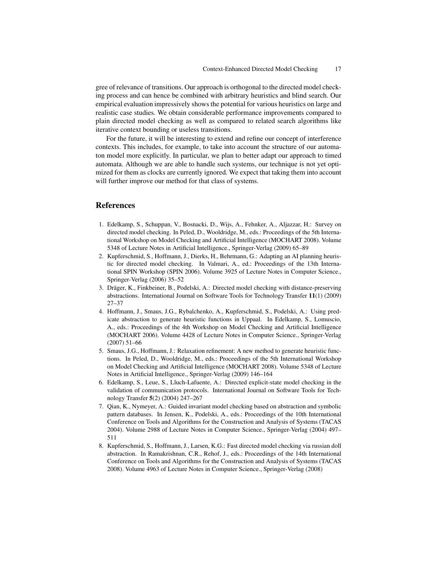gree of relevance of transitions. Our approach is orthogonal to the directed model checking process and can hence be combined with arbitrary heuristics and blind search. Our empirical evaluation impressively shows the potential for various heuristics on large and realistic case studies. We obtain considerable performance improvements compared to plain directed model checking as well as compared to related search algorithms like iterative context bounding or useless transitions.

For the future, it will be interesting to extend and refine our concept of interference contexts. This includes, for example, to take into account the structure of our automaton model more explicitly. In particular, we plan to better adapt our approach to timed automata. Although we are able to handle such systems, our technique is not yet optimized for them as clocks are currently ignored. We expect that taking them into account will further improve our method for that class of systems.

# References

- 1. Edelkamp, S., Schuppan, V., Bosnacki, D., Wijs, A., Fehnker, A., Aljazzar, H.: Survey on directed model checking. In Peled, D., Wooldridge, M., eds.: Proceedings of the 5th International Workshop on Model Checking and Artificial Intelligence (MOCHART 2008). Volume 5348 of Lecture Notes in Artificial Intelligence., Springer-Verlag (2009) 65–89
- 2. Kupferschmid, S., Hoffmann, J., Dierks, H., Behrmann, G.: Adapting an AI planning heuristic for directed model checking. In Valmari, A., ed.: Proceedings of the 13th International SPIN Workshop (SPIN 2006). Volume 3925 of Lecture Notes in Computer Science., Springer-Verlag (2006) 35–52
- 3. Dräger, K., Finkbeiner, B., Podelski, A.: Directed model checking with distance-preserving abstractions. International Journal on Software Tools for Technology Transfer 11(1) (2009) 27–37
- 4. Hoffmann, J., Smaus, J.G., Rybalchenko, A., Kupferschmid, S., Podelski, A.: Using predicate abstraction to generate heuristic functions in Uppaal. In Edelkamp, S., Lomuscio, A., eds.: Proceedings of the 4th Workshop on Model Checking and Artificial Intelligence (MOCHART 2006). Volume 4428 of Lecture Notes in Computer Science., Springer-Verlag (2007) 51–66
- 5. Smaus, J.G., Hoffmann, J.: Relaxation refinement: A new method to generate heuristic functions. In Peled, D., Wooldridge, M., eds.: Proceedings of the 5th International Workshop on Model Checking and Artificial Intelligence (MOCHART 2008). Volume 5348 of Lecture Notes in Artificial Intelligence., Springer-Verlag (2009) 146–164
- 6. Edelkamp, S., Leue, S., Lluch-Lafuente, A.: Directed explicit-state model checking in the validation of communication protocols. International Journal on Software Tools for Technology Transfer 5(2) (2004) 247–267
- 7. Qian, K., Nymeyer, A.: Guided invariant model checking based on abstraction and symbolic pattern databases. In Jensen, K., Podelski, A., eds.: Proceedings of the 10th International Conference on Tools and Algorithms for the Construction and Analysis of Systems (TACAS 2004). Volume 2988 of Lecture Notes in Computer Science., Springer-Verlag (2004) 497– 511
- 8. Kupferschmid, S., Hoffmann, J., Larsen, K.G.: Fast directed model checking via russian doll abstraction. In Ramakrishnan, C.R., Rehof, J., eds.: Proceedings of the 14th International Conference on Tools and Algorithms for the Construction and Analysis of Systems (TACAS 2008). Volume 4963 of Lecture Notes in Computer Science., Springer-Verlag (2008)